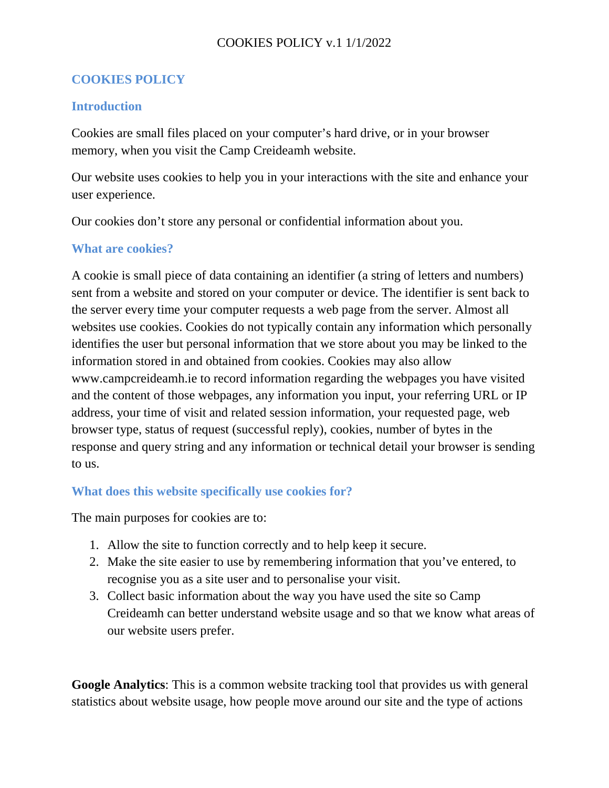# COOKIES POLICY v.1 1/1/2022

# **COOKIES POLICY**

## **Introduction**

Cookies are small files placed on your computer's hard drive, or in your browser memory, when you visit the Camp Creideamh website.

Our website uses cookies to help you in your interactions with the site and enhance your user experience.

Our cookies don't store any personal or confidential information about you.

## **What are cookies?**

A cookie is small piece of data containing an identifier (a string of letters and numbers) sent from a website and stored on your computer or device. The identifier is sent back to the server every time your computer requests a web page from the server. Almost all websites use cookies. Cookies do not typically contain any information which personally identifies the user but personal information that we store about you may be linked to the information stored in and obtained from cookies. Cookies may also allow www.campcreideamh.ie to record information regarding the webpages you have visited and the content of those webpages, any information you input, your referring URL or IP address, your time of visit and related session information, your requested page, web browser type, status of request (successful reply), cookies, number of bytes in the response and query string and any information or technical detail your browser is sending to us.

## **What does this website specifically use cookies for?**

The main purposes for cookies are to:

- 1. Allow the site to function correctly and to help keep it secure.
- 2. Make the site easier to use by remembering information that you've entered, to recognise you as a site user and to personalise your visit.
- 3. Collect basic information about the way you have used the site so Camp Creideamh can better understand website usage and so that we know what areas of our website users prefer.

**Google Analytics**: This is a common website tracking tool that provides us with general statistics about website usage, how people move around our site and the type of actions